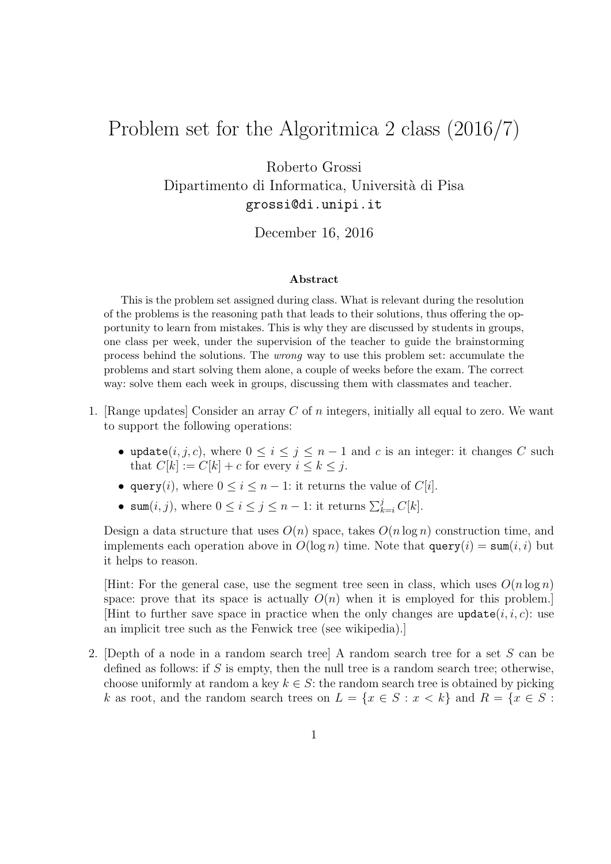## Problem set for the Algoritmica 2 class (2016/7)

Roberto Grossi Dipartimento di Informatica, Universit`a di Pisa grossi@di.unipi.it

## December 16, 2016

## Abstract

This is the problem set assigned during class. What is relevant during the resolution of the problems is the reasoning path that leads to their solutions, thus offering the opportunity to learn from mistakes. This is why they are discussed by students in groups, one class per week, under the supervision of the teacher to guide the brainstorming process behind the solutions. The wrong way to use this problem set: accumulate the problems and start solving them alone, a couple of weeks before the exam. The correct way: solve them each week in groups, discussing them with classmates and teacher.

- 1. [Range updates] Consider an array C of n integers, initially all equal to zero. We want to support the following operations:
	- update $(i, j, c)$ , where  $0 \le i \le j \le n 1$  and c is an integer: it changes C such that  $C[k] := C[k] + c$  for every  $i \leq k \leq j$ .
	- query(*i*), where  $0 \le i \le n 1$ : it returns the value of  $C[i]$ .
	- sum $(i, j)$ , where  $0 \leq i \leq j \leq n-1$ : it returns  $\sum_{k=i}^{j} C[k]$ .

Design a data structure that uses  $O(n)$  space, takes  $O(n \log n)$  construction time, and implements each operation above in  $O(\log n)$  time. Note that  $\text{query}(i) = \text{sum}(i, i)$  but it helps to reason.

[Hint: For the general case, use the segment tree seen in class, which uses  $O(n \log n)$ ] space: prove that its space is actually  $O(n)$  when it is employed for this problem. [Hint to further save space in practice when the only changes are update $(i, i, c)$ : use an implicit tree such as the Fenwick tree (see wikipedia).]

2. [Depth of a node in a random search tree] A random search tree for a set S can be defined as follows: if  $S$  is empty, then the null tree is a random search tree; otherwise, choose uniformly at random a key  $k \in S$ : the random search tree is obtained by picking k as root, and the random search trees on  $L = \{x \in S : x < k\}$  and  $R = \{x \in S : x < k\}$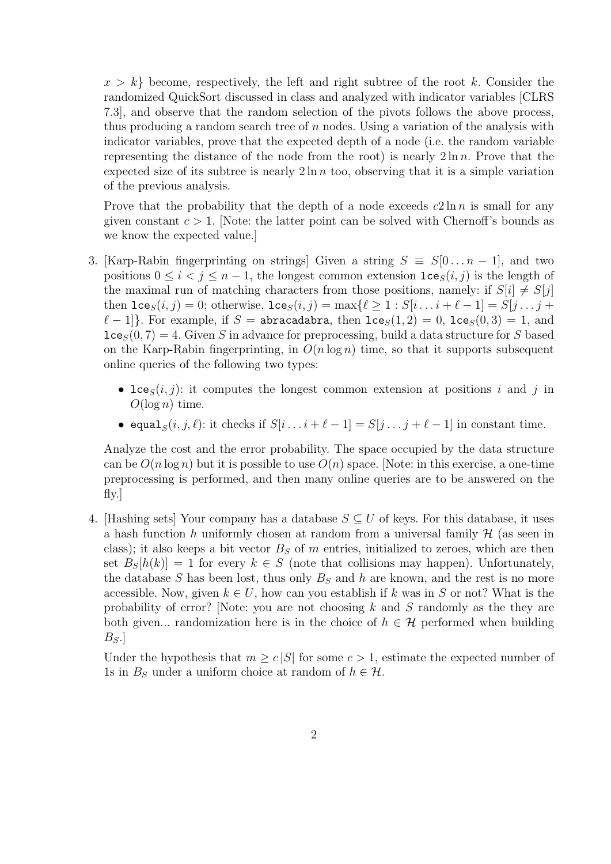$x > k$  become, respectively, the left and right subtree of the root k. Consider the randomized QuickSort discussed in class and analyzed with indicator variables [CLRS 7.3], and observe that the random selection of the pivots follows the above process, thus producing a random search tree of  $n$  nodes. Using a variation of the analysis with indicator variables, prove that the expected depth of a node (i.e. the random variable representing the distance of the node from the root) is nearly  $2 \ln n$ . Prove that the expected size of its subtree is nearly  $2 \ln n$  too, observing that it is a simple variation of the previous analysis.

Prove that the probability that the depth of a node exceeds  $c2 \ln n$  is small for any given constant  $c > 1$ . Note: the latter point can be solved with Chernoff's bounds as we know the expected value.]

- 3. [Karp-Rabin fingerprinting on strings] Given a string  $S \equiv S[0 \dots n-1]$ , and two positions  $0 \le i < j \le n-1$ , the longest common extension  $\text{lce}_{S}(i, j)$  is the length of the maximal run of matching characters from those positions, namely: if  $S[i] \neq S[j]$ then  $\texttt{lce}_S(i, j) = 0$ ; otherwise,  $\texttt{lce}_S(i, j) = \max\{\ell \geq 1 : S[i \dots i + \ell - 1] = S[j \dots j + \ell - 1] \}$  $\ell - 1$ . For example, if S = abracadabra, then  $lce_S(1, 2) = 0$ ,  $lce_S(0, 3) = 1$ , and  $lce_S(0, 7) = 4$ . Given S in advance for preprocessing, build a data structure for S based on the Karp-Rabin fingerprinting, in  $O(n \log n)$  time, so that it supports subsequent online queries of the following two types:
	- lce<sub>S</sub> $(i, j)$ : it computes the longest common extension at positions i and j in  $O(\log n)$  time.
	- equal $S(i, j, \ell)$ : it checks if  $S[i \dots i + \ell 1] = S[j \dots j + \ell 1]$  in constant time.

Analyze the cost and the error probability. The space occupied by the data structure can be  $O(n \log n)$  but it is possible to use  $O(n)$  space. [Note: in this exercise, a one-time preprocessing is performed, and then many online queries are to be answered on the fly.]

4. [Hashing sets] Your company has a database  $S \subseteq U$  of keys. For this database, it uses a hash function h uniformly chosen at random from a universal family  $\mathcal{H}$  (as seen in class); it also keeps a bit vector  $B<sub>S</sub>$  of m entries, initialized to zeroes, which are then set  $B_{S}[h(k)] = 1$  for every  $k \in S$  (note that collisions may happen). Unfortunately, the database S has been lost, thus only  $B<sub>S</sub>$  and h are known, and the rest is no more accessible. Now, given  $k \in U$ , how can you establish if k was in S or not? What is the probability of error? [Note: you are not choosing  $k$  and  $S$  randomly as the they are both given... randomization here is in the choice of  $h \in \mathcal{H}$  performed when building  $B_S$ .

Under the hypothesis that  $m \geq c |S|$  for some  $c > 1$ , estimate the expected number of 1s in  $B<sub>S</sub>$  under a uniform choice at random of  $h \in \mathcal{H}$ .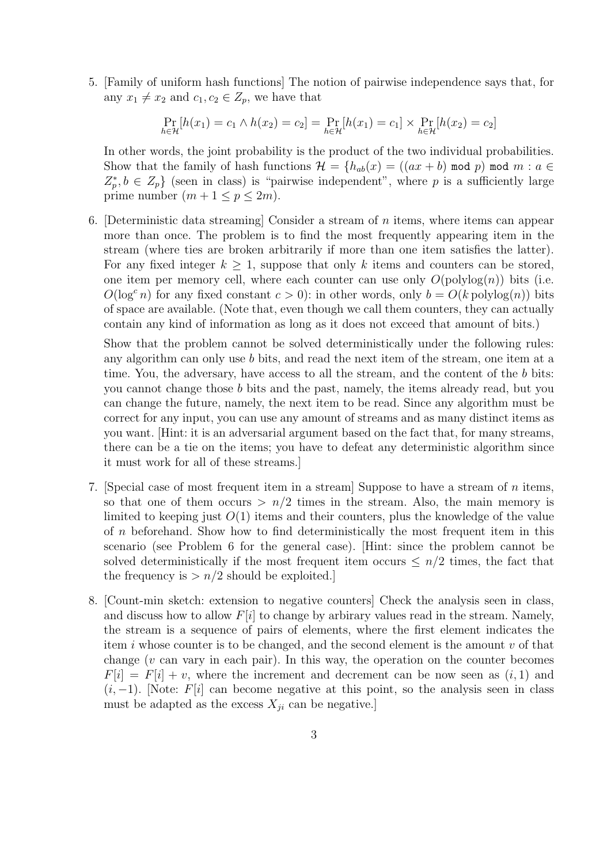5. [Family of uniform hash functions] The notion of pairwise independence says that, for any  $x_1 \neq x_2$  and  $c_1, c_2 \in Z_p$ , we have that

$$
\Pr_{h \in \mathcal{H}}[h(x_1) = c_1 \wedge h(x_2) = c_2] = \Pr_{h \in \mathcal{H}}[h(x_1) = c_1] \times \Pr_{h \in \mathcal{H}}[h(x_2) = c_2]
$$

In other words, the joint probability is the product of the two individual probabilities. Show that the family of hash functions  $\mathcal{H} = \{h_{ab}(x) = ((ax + b) \mod p) \mod m : a \in$  $Z_p^*, b \in Z_p$  (seen in class) is "pairwise independent", where p is a sufficiently large prime number  $(m + 1 \le p \le 2m)$ .

6. [Deterministic data streaming] Consider a stream of  $n$  items, where items can appear more than once. The problem is to find the most frequently appearing item in the stream (where ties are broken arbitrarily if more than one item satisfies the latter). For any fixed integer  $k \geq 1$ , suppose that only k items and counters can be stored, one item per memory cell, where each counter can use only  $O(polylog(n))$  bits (i.e.  $O(\log^c n)$  for any fixed constant  $c > 0$ : in other words, only  $b = O(k \text{ polylog}(n))$  bits of space are available. (Note that, even though we call them counters, they can actually contain any kind of information as long as it does not exceed that amount of bits.)

Show that the problem cannot be solved deterministically under the following rules: any algorithm can only use b bits, and read the next item of the stream, one item at a time. You, the adversary, have access to all the stream, and the content of the b bits: you cannot change those b bits and the past, namely, the items already read, but you can change the future, namely, the next item to be read. Since any algorithm must be correct for any input, you can use any amount of streams and as many distinct items as you want. [Hint: it is an adversarial argument based on the fact that, for many streams, there can be a tie on the items; you have to defeat any deterministic algorithm since it must work for all of these streams.]

- 7. [Special case of most frequent item in a stream] Suppose to have a stream of  $n$  items, so that one of them occurs  $> n/2$  times in the stream. Also, the main memory is limited to keeping just  $O(1)$  items and their counters, plus the knowledge of the value of n beforehand. Show how to find deterministically the most frequent item in this scenario (see Problem 6 for the general case). [Hint: since the problem cannot be solved deterministically if the most frequent item occurs  $\leq n/2$  times, the fact that the frequency is  $> n/2$  should be exploited.
- 8. [Count-min sketch: extension to negative counters] Check the analysis seen in class, and discuss how to allow  $F[i]$  to change by arbirary values read in the stream. Namely, the stream is a sequence of pairs of elements, where the first element indicates the item i whose counter is to be changed, and the second element is the amount  $v$  of that change  $(v \text{ can vary in each pair})$ . In this way, the operation on the counter becomes  $F[i] = F[i] + v$ , where the increment and decrement can be now seen as  $(i, 1)$  and  $(i, -1)$ . [Note: F[i] can become negative at this point, so the analysis seen in class must be adapted as the excess  $X_{ji}$  can be negative.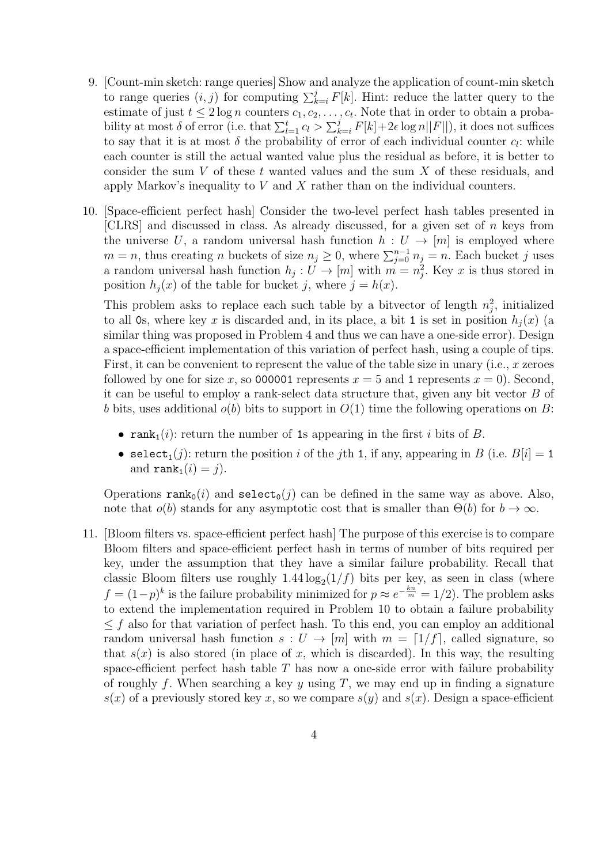- 9. [Count-min sketch: range queries] Show and analyze the application of count-min sketch to range queries  $(i, j)$  for computing  $\sum_{k=i}^{j} F[k]$ . Hint: reduce the latter query to the estimate of just  $t \leq 2 \log n$  counters  $c_1, c_2, \ldots, c_t$ . Note that in order to obtain a probability at most  $\delta$  of error (i.e. that  $\sum_{l=1}^{t} c_l > \sum_{k=i}^{j} F[k] + 2\epsilon \log n ||F||$ ), it does not suffices to say that it is at most  $\delta$  the probability of error of each individual counter  $c_l$ : while each counter is still the actual wanted value plus the residual as before, it is better to consider the sum V of these t wanted values and the sum  $X$  of these residuals, and apply Markov's inequality to  $V$  and  $X$  rather than on the individual counters.
- 10. [Space-efficient perfect hash] Consider the two-level perfect hash tables presented in [CLRS] and discussed in class. As already discussed, for a given set of  $n$  keys from the universe U, a random universal hash function  $h: U \to [m]$  is employed where  $m = n$ , thus creating n buckets of size  $n_j \geq 0$ , where  $\sum_{j=0}^{n-1} n_j = n$ . Each bucket j uses a random universal hash function  $h_j: U \to [m]$  with  $m = n_j^2$ . Key x is thus stored in position  $h_i(x)$  of the table for bucket j, where  $j = h(x)$ .

This problem asks to replace each such table by a bitvector of length  $n_j^2$ , initialized to all 0s, where key x is discarded and, in its place, a bit 1 is set in position  $h_i(x)$  (a similar thing was proposed in Problem 4 and thus we can have a one-side error). Design a space-efficient implementation of this variation of perfect hash, using a couple of tips. First, it can be convenient to represent the value of the table size in unary (i.e.,  $x$  zeroes followed by one for size x, so 000001 represents  $x = 5$  and 1 represents  $x = 0$ ). Second, it can be useful to employ a rank-select data structure that, given any bit vector  $B$  of b bits, uses additional  $o(b)$  bits to support in  $O(1)$  time the following operations on B:

- rank<sub>1</sub>(i): return the number of 1s appearing in the first i bits of B.
- select<sub>1</sub>(j): return the position i of the jth 1, if any, appearing in B (i.e.  $B[i] = 1$ and  $\text{rank}_1(i) = j$ ).

Operations  $\text{rank}_0(i)$  and  $\text{select}_0(j)$  can be defined in the same way as above. Also, note that  $o(b)$  stands for any asymptotic cost that is smaller than  $\Theta(b)$  for  $b \to \infty$ .

11. [Bloom filters vs. space-efficient perfect hash] The purpose of this exercise is to compare Bloom filters and space-efficient perfect hash in terms of number of bits required per key, under the assumption that they have a similar failure probability. Recall that classic Bloom filters use roughly  $1.44 \log_2(1/f)$  bits per key, as seen in class (where  $f = (1-p)^k$  is the failure probability minimized for  $p \approx e^{-\frac{k n}{m}} = 1/2$ ). The problem asks to extend the implementation required in Problem 10 to obtain a failure probability  $\leq f$  also for that variation of perfect hash. To this end, you can employ an additional random universal hash function  $s: U \to [m]$  with  $m = \lfloor 1/f \rfloor$ , called signature, so that  $s(x)$  is also stored (in place of x, which is discarded). In this way, the resulting space-efficient perfect hash table  $T$  has now a one-side error with failure probability of roughly f. When searching a key y using T, we may end up in finding a signature  $s(x)$  of a previously stored key x, so we compare  $s(y)$  and  $s(x)$ . Design a space-efficient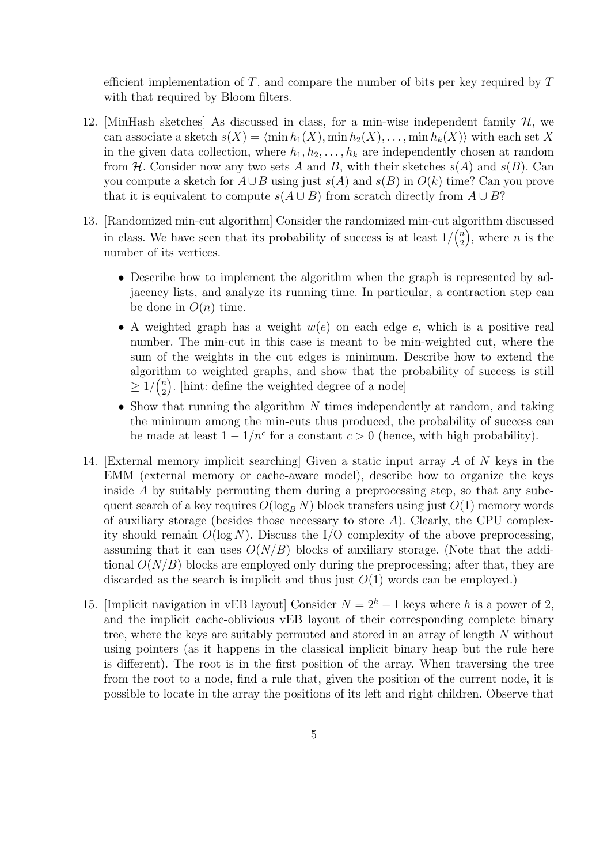efficient implementation of  $T$ , and compare the number of bits per key required by  $T$ with that required by Bloom filters.

- 12. [MinHash sketches] As discussed in class, for a min-wise independent family  $H$ , we can associate a sketch  $s(X) = \langle \min h_1(X), \min h_2(X), \ldots, \min h_k(X)\rangle$  with each set X in the given data collection, where  $h_1, h_2, \ldots, h_k$  are independently chosen at random from H. Consider now any two sets A and B, with their sketches  $s(A)$  and  $s(B)$ . Can you compute a sketch for  $A\cup B$  using just  $s(A)$  and  $s(B)$  in  $O(k)$  time? Can you prove that it is equivalent to compute  $s(A \cup B)$  from scratch directly from  $A \cup B$ ?
- 13. [Randomized min-cut algorithm] Consider the randomized min-cut algorithm discussed in class. We have seen that its probability of success is at least  $1/\binom{n}{2}$ 2  $\phi$ , where *n* is the number of its vertices.
	- Describe how to implement the algorithm when the graph is represented by adjacency lists, and analyze its running time. In particular, a contraction step can be done in  $O(n)$  time.
	- A weighted graph has a weight  $w(e)$  on each edge e, which is a positive real number. The min-cut in this case is meant to be min-weighted cut, where the sum of the weights in the cut edges is minimum. Describe how to extend the algorithm to weighted graphs, and show that the probability of success is still  $\geq 1/\binom{n}{2}$ 2 . [hint: define the weighted degree of a node]
	- Show that running the algorithm  $N$  times independently at random, and taking the minimum among the min-cuts thus produced, the probability of success can be made at least  $1 - 1/n^c$  for a constant  $c > 0$  (hence, with high probability).
- 14. [External memory implicit searching] Given a static input array A of N keys in the EMM (external memory or cache-aware model), describe how to organize the keys inside A by suitably permuting them during a preprocessing step, so that any subequent search of a key requires  $O(\log_B N)$  block transfers using just  $O(1)$  memory words of auxiliary storage (besides those necessary to store  $A$ ). Clearly, the CPU complexity should remain  $O(\log N)$ . Discuss the I/O complexity of the above preprocessing, assuming that it can uses  $O(N/B)$  blocks of auxiliary storage. (Note that the additional  $O(N/B)$  blocks are employed only during the preprocessing; after that, they are discarded as the search is implicit and thus just  $O(1)$  words can be employed.)
- 15. [Implicit navigation in vEB layout] Consider  $N = 2<sup>h</sup> 1$  keys where h is a power of 2, and the implicit cache-oblivious vEB layout of their corresponding complete binary tree, where the keys are suitably permuted and stored in an array of length N without using pointers (as it happens in the classical implicit binary heap but the rule here is different). The root is in the first position of the array. When traversing the tree from the root to a node, find a rule that, given the position of the current node, it is possible to locate in the array the positions of its left and right children. Observe that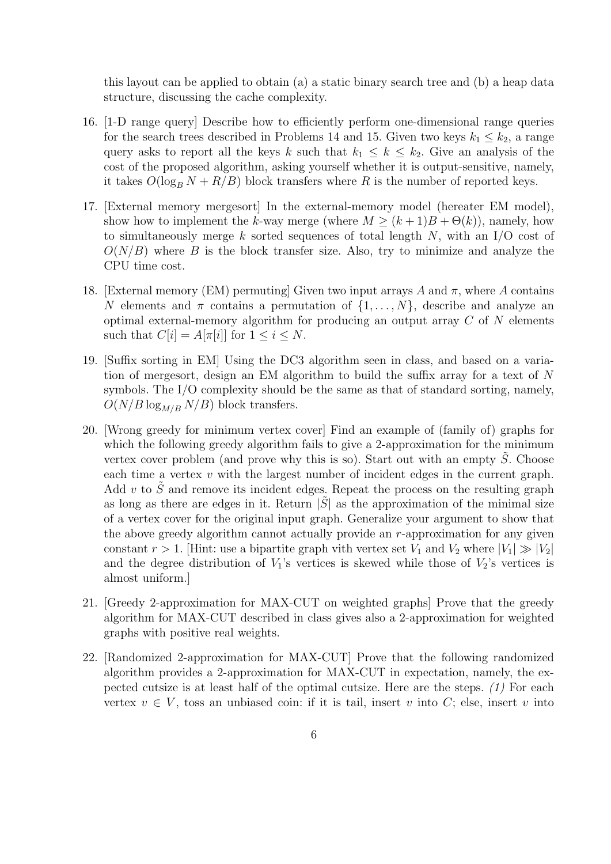this layout can be applied to obtain (a) a static binary search tree and (b) a heap data structure, discussing the cache complexity.

- 16. [1-D range query] Describe how to efficiently perform one-dimensional range queries for the search trees described in Problems 14 and 15. Given two keys  $k_1 \leq k_2$ , a range query asks to report all the keys k such that  $k_1 \leq k \leq k_2$ . Give an analysis of the cost of the proposed algorithm, asking yourself whether it is output-sensitive, namely, it takes  $O(\log_B N + R/B)$  block transfers where R is the number of reported keys.
- 17. [External memory mergesort] In the external-memory model (hereater EM model), show how to implement the k-way merge (where  $M \ge (k+1)B + \Theta(k)$ ), namely, how to simultaneously merge k sorted sequences of total length  $N$ , with an I/O cost of  $O(N/B)$  where B is the block transfer size. Also, try to minimize and analyze the CPU time cost.
- 18. [External memory (EM) permuting] Given two input arrays A and  $\pi$ , where A contains N elements and  $\pi$  contains a permutation of  $\{1, \ldots, N\}$ , describe and analyze an optimal external-memory algorithm for producing an output array  $C$  of  $N$  elements such that  $C[i] = A[\pi[i]]$  for  $1 \leq i \leq N$ .
- 19. [Suffix sorting in EM] Using the DC3 algorithm seen in class, and based on a variation of mergesort, design an EM algorithm to build the suffix array for a text of N symbols. The I/O complexity should be the same as that of standard sorting, namely,  $O(N/B \log_{M/B} N/B)$  block transfers.
- 20. [Wrong greedy for minimum vertex cover] Find an example of (family of) graphs for which the following greedy algorithm fails to give a 2-approximation for the minimum vertex cover problem (and prove why this is so). Start out with an empty  $\tilde{S}$ . Choose each time a vertex  $v$  with the largest number of incident edges in the current graph. Add v to  $\tilde{S}$  and remove its incident edges. Repeat the process on the resulting graph as long as there are edges in it. Return  $|S|$  as the approximation of the minimal size of a vertex cover for the original input graph. Generalize your argument to show that the above greedy algorithm cannot actually provide an  $r$ -approximation for any given constant  $r > 1$ . Hint: use a bipartite graph vith vertex set  $V_1$  and  $V_2$  where  $|V_1| \gg |V_2|$ and the degree distribution of  $V_1$ 's vertices is skewed while those of  $V_2$ 's vertices is almost uniform.]
- 21. [Greedy 2-approximation for MAX-CUT on weighted graphs] Prove that the greedy algorithm for MAX-CUT described in class gives also a 2-approximation for weighted graphs with positive real weights.
- 22. [Randomized 2-approximation for MAX-CUT] Prove that the following randomized algorithm provides a 2-approximation for MAX-CUT in expectation, namely, the expected cutsize is at least half of the optimal cutsize. Here are the steps. (1) For each vertex  $v \in V$ , toss an unbiased coin: if it is tail, insert v into C; else, insert v into